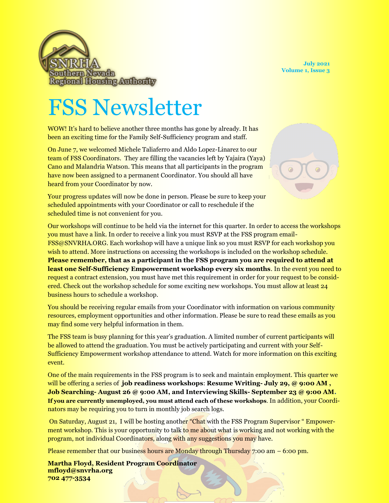

**July 2021 Volume 1, Issue 3**

# FSS Newsletter

WOW! It's hard to believe another three months has gone by already. It has been an exciting time for the Family Self-Sufficiency program and staff.

On June 7, we welcomed Michele Taliaferro and Aldo Lopez-Linarez to our team of FSS Coordinators. They are filling the vacancies left by Yajaira (Yaya) Cano and Malandria Watson. This means that all participants in the program have now been assigned to a permanent Coordinator. You should all have heard from your Coordinator by now.

Your progress updates will now be done in person. Please be sure to keep your scheduled appointments with your Coordinator or call to reschedule if the scheduled time is not convenient for you.

Our workshops will continue to be held via the internet for this quarter. In order to access the workshops you must have a link. In order to receive a link you must RSVP at the FSS program email-FSS@SNVRHA.ORG. Each workshop will have a unique link so you must RSVP for each workshop you wish to attend. More instructions on accessing the workshops is included on the workshop schedule. **Please remember, that as a participant in the FSS program you are required to attend at least one Self-Sufficiency Empowerment workshop every six months**. In the event you need to request a contract extension, you must have met this requirement in order for your request to be considered. Check out the workshop schedule for some exciting new workshops. You must allow at least 24 business hours to schedule a workshop.

You should be receiving regular emails from your Coordinator with information on various community resources, employment opportunities and other information. Please be sure to read these emails as you may find some very helpful information in them.

The FSS team is busy planning for this year's graduation. A limited number of current participants will be allowed to attend the graduation. You must be actively participating and current with your Self-Sufficiency Empowerment workshop attendance to attend. Watch for more information on this exciting event.

One of the main requirements in the FSS program is to seek and maintain employment. This quarter we will be offering a series of **job readiness workshops**: **Resume Writing- July 29, @ 9:00 AM , Job Searching- August 26 @ 9:00 AM, and Interviewing Skills- September 23 @ 9:00 AM. If you are currently unemployed, you must attend each of these workshops**. In addition, your Coordinators may be requiring you to turn in monthly job search logs.

On Saturday, August 21, I will be hosting another "Chat with the FSS Program Supervisor " Empowerment workshop. This is your opportunity to talk to me about what is working and not working with the program, not individual Coordinators, along with any suggestions you may have.

Please remember that our business hours are Monday through Thursday  $7:00$  am  $-6:00$  pm.

**Martha Floyd, Resident Program Coordinator mfloyd@snvrha.org 702 477-3534**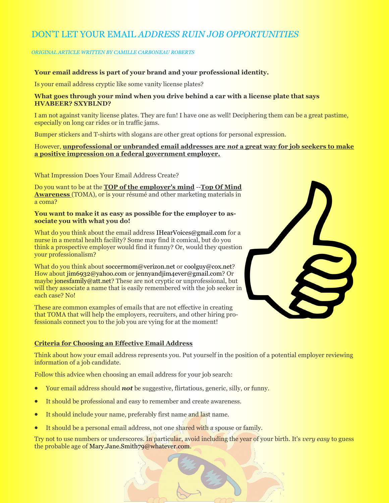# DON'T LET YOUR EMAIL *ADDRESS RUIN JOB OPPORTUNITIES*

#### *ORIGINAL ARTICLE WRITTEN BY CAMILLE CARBONEAU ROBERTS*

## **Your email address is part of your brand and your professional identity.**

Is your email address cryptic like some vanity license plates?

#### **What goes through your mind when you drive behind a car with a license plate that says HVABEER? SXYBLND?**

I am not against vanity license plates. They are fun! I have one as well! Deciphering them can be a great pastime, especially on long car rides or in traffic jams.

Bumper stickers and T-shirts with slogans are other great options for personal expression.

## However, **unprofessional or unbranded email addresses are** *not* **a great way for job seekers to make a positive impression on a federal government employer.**

What Impression Does Your Email Address Create?

Do you want to be at the **TOP of the employer's mind** --**Top Of Mind Awareness** (TOMA), or is your résumé and other marketing materials in a coma?

#### **You want to make it as easy as possible for the employer to associate you with what you do!**

What do you think about the email address IHearVoices@gmail.com for a nurse in a mental health facility? Some may find it comical, but do you think a prospective employer would find it funny? Or, would they question your professionalism?

What do you think about soccermom@verizon.net or coolguy@cox.net? How about jim6932@yahoo.com or jennyandjim4ever@gmail.com? Or maybe jonesfamily@att.net? These are not cryptic or unprofessional, but will they associate a name that is easily remembered with the job seeker in each case? No!

These are common examples of emails that are not effective in creating that TOMA that will help the employers, recruiters, and other hiring professionals connect you to the job you are vying for at the moment!

## **Criteria for Choosing an Effective Email Address**

Think about how your email address represents you. Put yourself in the position of a potential employer reviewing information of a job candidate.

Follow this advice when choosing an email address for your job search:

- Your email address should *not* be suggestive, flirtatious, generic, silly, or funny.
- It should be professional and easy to remember and create awareness.
- **It should include your name, preferably first name and last name.**
- It should be a personal email address, not one shared with a spouse or family.

Try not to use numbers or underscores. In particular, avoid including the year of your birth. It's *very easy* to guess the probable age of Mary.Jane.Smith79@whatever.com.



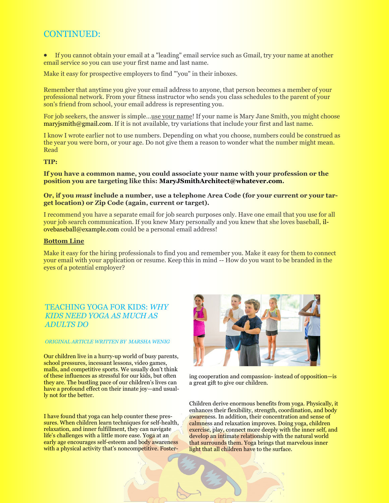# CONTINUED:

 If you cannot obtain your email at a "leading" email service such as Gmail, try your name at another email service so you can use your first name and last name.

Make it easy for prospective employers to find "'you" in their inboxes.

Remember that anytime you give your email address to anyone, that person becomes a member of your professional network. From your fitness instructor who sends you class schedules to the parent of your son's friend from school, your email address is representing you.

For job seekers, the answer is simple...<u>use your name</u>! If your name is Mary Jane Smith, you might choose maryjsmith@gmail.com. If it is not available, try variations that include your first and last name.

I know I wrote earlier not to use numbers. Depending on what you choose, numbers could be construed as the year you were born, or your age. Do not give them a reason to wonder what the number might mean. Read

#### **TIP:**

**If you have a common name, you could associate your name with your profession or the position you are targeting like this: MaryJSmithArchitect@whatever.com.**

#### **Or, if you** *must* **include a number, use a telephone Area Code (for your current or your target location) or Zip Code (again, current or target).**

I recommend you have a separate email for job search purposes only. Have one email that you use for all your job search communication. If you knew Mary personally and you knew that she loves baseball, ilovebaseball@example.com could be a personal email address!

#### **Bottom Line**

Make it easy for the hiring professionals to find you and remember you. Make it easy for them to connect your email with your application or resume. Keep this in mind -- How do you want to be branded in the eyes of a potential employer?

# TEACHING YOGA FOR KIDS: *WHY KIDS NEED YOGA AS MUCH AS ADULTS DO*

#### *ORIGINAL ARTICLE WRITTEN BY MARSHA WENIG*

Our children live in a hurry-up world of busy parents, school pressures, incessant lessons, video games, malls, and competitive sports. We usually don't think of these influences as stressful for our kids, but often they are. The bustling pace of our children's lives can have a profound effect on their innate joy—and usually not for the better.

I have found that yoga can help counter these pressures. When children learn techniques for self-health, relaxation, and inner fulfillment, they can navigate life's challenges with a little more ease. Yoga at an early age encourages self-esteem and body awareness with a physical activity that's noncompetitive. Foster-



ing cooperation and compassion- instead of opposition—is a great gift to give our children.

Children derive enormous benefits from yoga. Physically, it enhances their flexibility, [strength,](https://www.yogajournal.com/category/types/strength/) coordination, and body awareness. In addition, their concentration and sense of calmness and relaxation improves. Doing yoga, children exercise, play, connect more deeply with the inner self, and develop an intimate relationship with the natural world that surrounds them. Yoga brings that marvelous inner light that all children have to the surface.

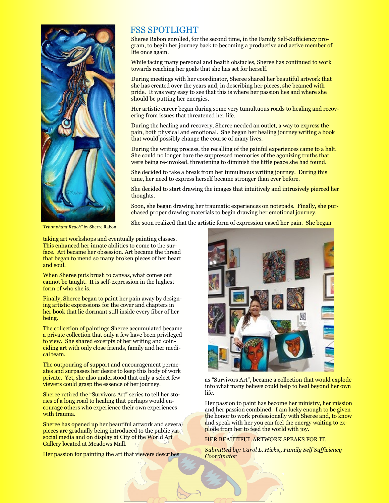

# FSS SPOTLIGHT

Sheree Rabon enrolled, for the second time, in the Family Self-Sufficiency program, to begin her journey back to becoming a productive and active member of life once again.

While facing many personal and health obstacles, Sheree has continued to work towards reaching her goals that she has set for herself.

During meetings with her coordinator, Sheree shared her beautiful artwork that she has created over the years and, in describing her pieces, she beamed with pride. It was very easy to see that this is where her passion lies and where she should be putting her energies.

Her artistic career began during some very tumultuous roads to healing and recovering from issues that threatened her life.

During the healing and recovery, Sheree needed an outlet, a way to express the pain, both physical and emotional. She began her healing journey writing a book that would possibly change the course of many lives.

During the writing process, the recalling of the painful experiences came to a halt. She could no longer bare the suppressed memories of the agonizing truths that were being re-invoked, threatening to diminish the little peace she had found.

She decided to take a break from her tumultuous writing journey. During this time, her need to express herself became stronger than ever before.

She decided to start drawing the images that intuitively and intrusively pierced her thoughts.

Soon, she began drawing her traumatic experiences on notepads. Finally, she purchased proper drawing materials to begin drawing her emotional journey.

She soon realized that the artistic form of expression eased her pain. She began

taking art workshops and eventually painting classes. This enhanced her innate abilities to come to the surface. Art became her obsession. Art became the thread that began to mend so many broken pieces of her heart and soul.

When Sheree puts brush to canvas, what comes out cannot be taught. It is self-expression in the highest form of who she is.

Finally, Sheree began to paint her pain away by designing artistic expressions for the cover and chapters in her book that lie dormant still inside every fiber of her being.

The collection of paintings Sheree accumulated became a private collection that only a few have been privileged to view. She shared excerpts of her writing and coinciding art with only close friends, family and her medical team.

The outpouring of support and encouragement permeates and surpasses her desire to keep this body of work private. Yet, she also understood that only a select few viewers could grasp the essence of her journey.

Sheree retired the "Survivors Art" series to tell her stories of a long road to healing that perhaps would encourage others who experience their own experiences with trauma.

Sheree has opened up her beautiful artwork and several pieces are gradually being introduced to the public via social media and on display at City of the World Art Gallery located at Meadows Mall.

Her passion for painting the art that viewers describes



as "Survivors Art", became a collection that would explode into what many believe could help to heal beyond her own life.

Her passion to paint has become her ministry, her mission and her passion combined. I am lucky enough to be given the honor to work professionally with Sheree and, to know and speak with her you can feel the energy waiting to explode from her to feed the world with joy.

HER BEAUTIFUL ARTWORK SPEAKS FOR IT.

*Submitted by: Carol L. Hicks,, Family Self Sufficiency Coordinator*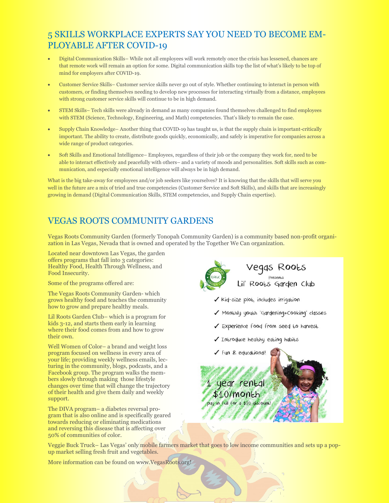# 5 SKILLS WORKPLACE EXPERTS SAY YOU NEED TO BECOME EM-PLOYABLE AFTER COVID-19

- Digital Communication Skills– While not all employees will work remotely once the crisis has lessened, chances are that remote work will remain an option for some. Digital communication skills top the list of what's likely to be top of mind for employers after COVID-19.
- Customer Service Skills– Customer service skills never go out of style. Whether continuing to interact in person with customers, or finding themselves needing to develop new processes for interacting virtually from a distance, employees with strong customer service skills will continue to be in high demand.
- STEM Skills– Tech skills were already in demand as many companies found themselves challenged to find employees with STEM (Science, Technology, Engineering, and Math) competencies. That's likely to remain the case.
- Supply Chain Knowledge– Another thing that COVID-19 has taught us, is that the supply chain is important-critically important. The ability to create, distribute goods quickly, economically, and safely is imperative for companies across a wide range of product categories.
- Soft Skills and Emotional Intelligence– Employees, regardless of their job or the company they work for, need to be able to interact effectively and peacefully with others– and a variety of moods and personalities. Soft skills such as communication, and especially emotional intelligence will always be in high demand.

What is the big take-away for employees and/or job seekers like yourselves? It is knowing that the skills that will serve you well in the future are a mix of tried and true competencies (Customer Service and Soft Skills), and skills that are increasingly growing in demand (Digital Communication Skills, STEM competencies, and Supply Chain expertise).

# VEGAS ROOTS COMMUNITY GARDENS

Vegas Roots Community Garden (formerly Tonopah Community Garden) is a community based non-profit organization in Las Vegas, Nevada that is owned and operated by the Together We Can organization.

Located near downtown Las Vegas, the garden offers programs that fall into 3 categories: Healthy Food, Health Through Wellness, and Food Insecurity.

Some of the programs offered are:

The Vegas Roots Community Garden- which grows healthy food and teaches the community how to grow and prepare healthy meals.

Lil Roots Garden Club– which is a program for kids 3-12, and starts them early in learning where their food comes from and how to grow their own.

Well Women of Color– a brand and weight loss program focused on wellness in every area of your life; providing weekly wellness emails, lecturing in the community, blogs, podcasts, and a Facebook group. The program walks the members slowly through making those lifestyle changes over time that will change the trajectory of their health and give them daily and weekly support.

The DIVA program– a diabetes reversal program that is also online and is specifically geared towards reducing or eliminating medications and reversing this disease that is affecting over 50% of communities of color.



# Vegas Roots

Lil' Roots Garden Club

- $\checkmark$  Kid-size plot, includes irrigation
- Monthly youth 'Gardening+Cooking' classes
- Experience food from seed to harvest
- Introduce healthy eating habits



Veggie Buck Truck– Las Vegas' only mobile farmers market that goes to low income communities and sets up a popup market selling fresh fruit and vegetables.

More information can be found on www.VegasRoots.org!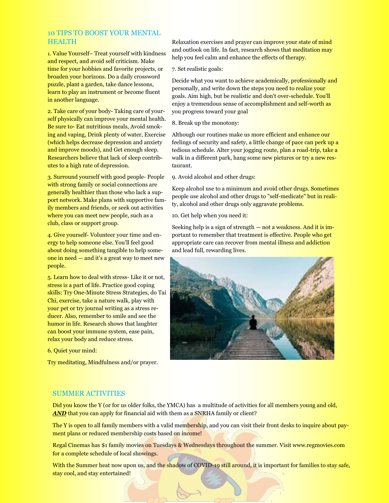# 10 TIPS TO BOOST YOUR MENTAL **HEALTH**

1. Value Yourself– Treat yourself with kindness and respect, and avoid self criticism. Make time for your hobbies and favorite projects, or broaden your horizons. Do a daily crossword puzzle, plant a garden, take dance lessons, learn to play an instrument or become fluent in another language.

2. Take care of your body- Taking care of yourself physically can improve your mental health. Be sure to- Eat nutritious meals, Avoid smoking and vaping, Drink plenty of water, Exercise (which helps decrease depression and anxiety and improve moods), and Get enough sleep. Researchers believe that lack of sleep contributes to a high rate of depression.

3. Surround yourself with good people- People with strong family or social connections are generally healthier than those who lack a support network. Make plans with supportive family members and friends, or seek out activities where you can meet new people, such as a club, class or support group.

4. Give yourself- Volunteer your time and energy to help someone else. You'll feel good about doing something tangible to help someone in need — and it's a great way to meet new people.

5. Learn how to deal with stress- Like it or not, stress is a part of life. Practice good coping skills: Try One-Minute Stress Strategies, do Tai Chi, exercise, take a nature walk, play with your pet or try journal writing as a stress reducer. Also, remember to smile and see the humor in life. Research shows that laughter can boost your immune system, ease pain, relax your body and reduce stress.

6. Quiet your mind:

Try meditating, Mindfulness and/or prayer.

Relaxation exercises and prayer can improve your state of mind and outlook on life. In fact, research shows that meditation may help you feel calm and enhance the effects of therapy.

#### 7. Set realistic goals:

Decide what you want to achieve academically, professionally and personally, and write down the steps you need to realize your goals. Aim high, but be realistic and don't over-schedule. You'll enjoy a tremendous sense of accomplishment and self-worth as you progress toward your goal

8. Break up the monotony:

Although our routines make us more efficient and enhance our feelings of security and safety, a little change of pace can perk up a tedious schedule. Alter your jogging route, plan a road-trip, take a walk in a different park, hang some new pictures or try a new restaurant.

9. Avoid alcohol and other drugs:

Keep alcohol use to a minimum and avoid other drugs. Sometimes people use alcohol and other drugs to "self-medicate" but in reality, alcohol and other drugs only aggravate problems.

10. Get help when you need it:

Seeking help is a sign of strength — not a weakness. And it is important to remember that treatment is effective. People who get appropriate care can recover from mental illness and addiction and lead full, rewarding lives.



## SUMMER ACTIVITIES

Did you know the Y (or for us older folks, the YMCA) has a multitude of activities for all members young and old, **AND** that you can apply for financial aid with them as a SNRHA family or client?

The Y is open to all family members with a valid membership, and you can visit their front desks to inquire about payment plans or reduced membership costs based on income!

Regal Cinemas has \$1 family movies on Tuesdays & Wednesdays throughout the summer. Visit www.regmovies.com for a complete schedule of local showings.

With the Summer heat now upon us, and the shadow of COVID-19 still around, it is important for families to stay safe, stay cool, and stay entertained!